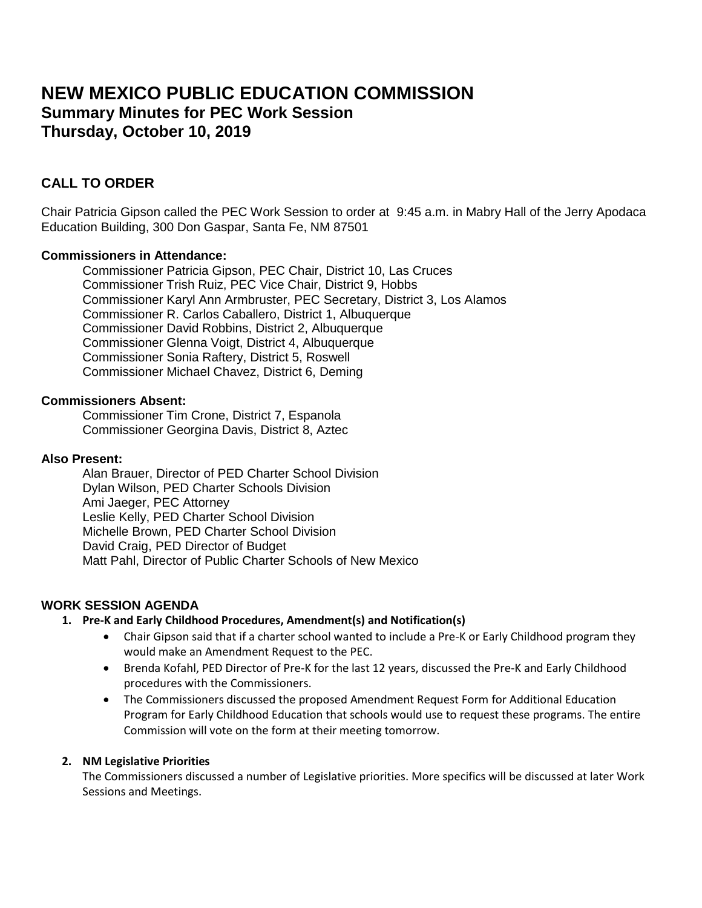# **NEW MEXICO PUBLIC EDUCATION COMMISSION Summary Minutes for PEC Work Session Thursday, October 10, 2019**

# **CALL TO ORDER**

Chair Patricia Gipson called the PEC Work Session to order at 9:45 a.m. in Mabry Hall of the Jerry Apodaca Education Building, 300 Don Gaspar, Santa Fe, NM 87501

# **Commissioners in Attendance:**

Commissioner Patricia Gipson, PEC Chair, District 10, Las Cruces Commissioner Trish Ruiz, PEC Vice Chair, District 9, Hobbs Commissioner Karyl Ann Armbruster, PEC Secretary, District 3, Los Alamos Commissioner R. Carlos Caballero, District 1, Albuquerque Commissioner David Robbins, District 2, Albuquerque Commissioner Glenna Voigt, District 4, Albuquerque Commissioner Sonia Raftery, District 5, Roswell Commissioner Michael Chavez, District 6, Deming

#### **Commissioners Absent:**

Commissioner Tim Crone, District 7, Espanola Commissioner Georgina Davis, District 8, Aztec

#### **Also Present:**

Alan Brauer, Director of PED Charter School Division Dylan Wilson, PED Charter Schools Division Ami Jaeger, PEC Attorney Leslie Kelly, PED Charter School Division Michelle Brown, PED Charter School Division David Craig, PED Director of Budget Matt Pahl, Director of Public Charter Schools of New Mexico

# **WORK SESSION AGENDA**

# **1. Pre-K and Early Childhood Procedures, Amendment(s) and Notification(s)**

- Chair Gipson said that if a charter school wanted to include a Pre-K or Early Childhood program they would make an Amendment Request to the PEC.
- Brenda Kofahl, PED Director of Pre-K for the last 12 years, discussed the Pre-K and Early Childhood procedures with the Commissioners.
- The Commissioners discussed the proposed Amendment Request Form for Additional Education Program for Early Childhood Education that schools would use to request these programs. The entire Commission will vote on the form at their meeting tomorrow.

#### **2. NM Legislative Priorities**

The Commissioners discussed a number of Legislative priorities. More specifics will be discussed at later Work Sessions and Meetings.